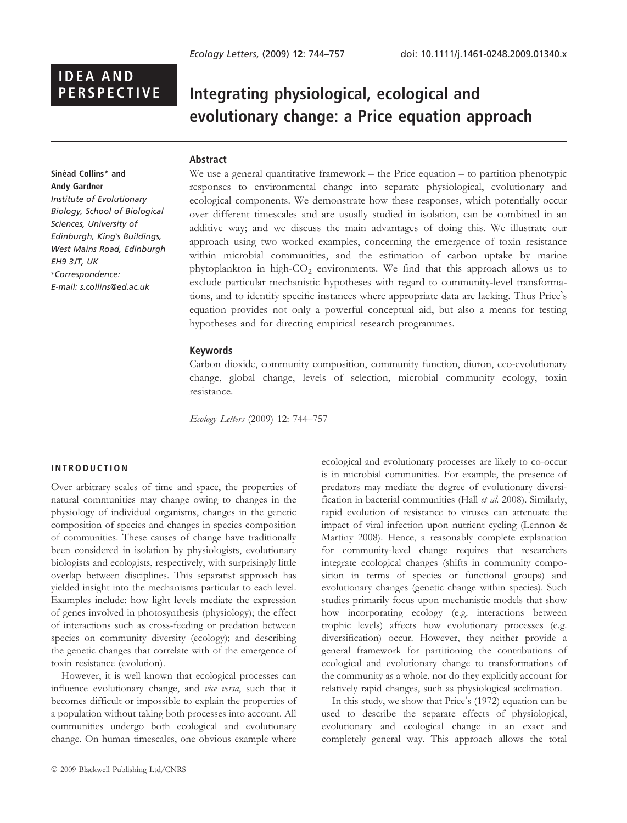# **IDEA AND<br>PERSPECTIVE**

# Integrating physiological, ecological and evolutionary change: a Price equation approach

# Abstract

Andy Gardner Institute of Evolutionary Biology, School of Biological Sciences, University of Edinburgh, King's Buildings, West Mains Road, Edinburgh EH9 3JT, UK \*Correspondence: E-mail: s.collins@ed.ac.uk

Sinéad Collins\* and

We use a general quantitative framework – the Price equation – to partition phenotypic responses to environmental change into separate physiological, evolutionary and ecological components. We demonstrate how these responses, which potentially occur over different timescales and are usually studied in isolation, can be combined in an additive way; and we discuss the main advantages of doing this. We illustrate our approach using two worked examples, concerning the emergence of toxin resistance within microbial communities, and the estimation of carbon uptake by marine phytoplankton in high- $CO<sub>2</sub>$  environments. We find that this approach allows us to exclude particular mechanistic hypotheses with regard to community-level transformations, and to identify specific instances where appropriate data are lacking. Thus Price's equation provides not only a powerful conceptual aid, but also a means for testing hypotheses and for directing empirical research programmes.

#### Keywords

Carbon dioxide, community composition, community function, diuron, eco-evolutionary change, global change, levels of selection, microbial community ecology, toxin resistance.

Ecology Letters (2009) 12: 744–757

# INTRODUCTION

Over arbitrary scales of time and space, the properties of natural communities may change owing to changes in the physiology of individual organisms, changes in the genetic composition of species and changes in species composition of communities. These causes of change have traditionally been considered in isolation by physiologists, evolutionary biologists and ecologists, respectively, with surprisingly little overlap between disciplines. This separatist approach has yielded insight into the mechanisms particular to each level. Examples include: how light levels mediate the expression of genes involved in photosynthesis (physiology); the effect of interactions such as cross-feeding or predation between species on community diversity (ecology); and describing the genetic changes that correlate with of the emergence of toxin resistance (evolution).

However, it is well known that ecological processes can influence evolutionary change, and vice versa, such that it becomes difficult or impossible to explain the properties of a population without taking both processes into account. All communities undergo both ecological and evolutionary change. On human timescales, one obvious example where

- 2009 Blackwell Publishing Ltd/CNRS

ecological and evolutionary processes are likely to co-occur is in microbial communities. For example, the presence of predators may mediate the degree of evolutionary diversification in bacterial communities (Hall et al. 2008). Similarly, rapid evolution of resistance to viruses can attenuate the impact of viral infection upon nutrient cycling (Lennon & Martiny 2008). Hence, a reasonably complete explanation for community-level change requires that researchers integrate ecological changes (shifts in community composition in terms of species or functional groups) and evolutionary changes (genetic change within species). Such studies primarily focus upon mechanistic models that show how incorporating ecology (e.g. interactions between trophic levels) affects how evolutionary processes (e.g. diversification) occur. However, they neither provide a general framework for partitioning the contributions of ecological and evolutionary change to transformations of the community as a whole, nor do they explicitly account for relatively rapid changes, such as physiological acclimation.

In this study, we show that Price's (1972) equation can be used to describe the separate effects of physiological, evolutionary and ecological change in an exact and completely general way. This approach allows the total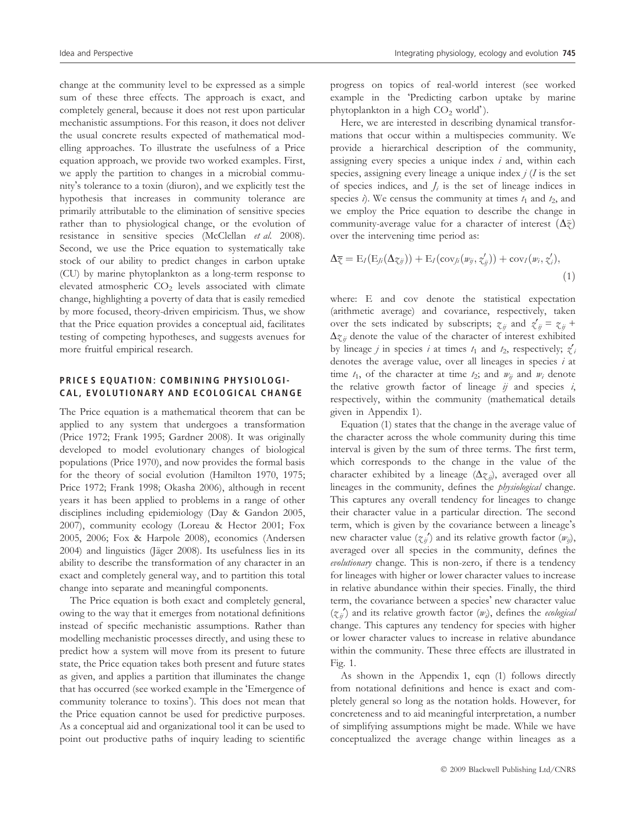change at the community level to be expressed as a simple sum of these three effects. The approach is exact, and completely general, because it does not rest upon particular mechanistic assumptions. For this reason, it does not deliver the usual concrete results expected of mathematical modelling approaches. To illustrate the usefulness of a Price equation approach, we provide two worked examples. First, we apply the partition to changes in a microbial community-s tolerance to a toxin (diuron), and we explicitly test the hypothesis that increases in community tolerance are primarily attributable to the elimination of sensitive species rather than to physiological change, or the evolution of resistance in sensitive species (McClellan et al. 2008). Second, we use the Price equation to systematically take stock of our ability to predict changes in carbon uptake (CU) by marine phytoplankton as a long-term response to elevated atmospheric  $CO<sub>2</sub>$  levels associated with climate change, highlighting a poverty of data that is easily remedied by more focused, theory-driven empiricism. Thus, we show that the Price equation provides a conceptual aid, facilitates testing of competing hypotheses, and suggests avenues for more fruitful empirical research.

# PRICE S EQUATION: COMBINING PHYSIOLOGI-CAL, EVOLUTIONARY AND ECOLOGICAL CHANGE

The Price equation is a mathematical theorem that can be applied to any system that undergoes a transformation (Price 1972; Frank 1995; Gardner 2008). It was originally developed to model evolutionary changes of biological populations (Price 1970), and now provides the formal basis for the theory of social evolution (Hamilton 1970, 1975; Price 1972; Frank 1998; Okasha 2006), although in recent years it has been applied to problems in a range of other disciplines including epidemiology (Day & Gandon 2005, 2007), community ecology (Loreau & Hector 2001; Fox 2005, 2006; Fox & Harpole 2008), economics (Andersen  $2004$ ) and linguistics (Jäger 2008). Its usefulness lies in its ability to describe the transformation of any character in an exact and completely general way, and to partition this total change into separate and meaningful components.

The Price equation is both exact and completely general, owing to the way that it emerges from notational definitions instead of specific mechanistic assumptions. Rather than modelling mechanistic processes directly, and using these to predict how a system will move from its present to future state, the Price equation takes both present and future states as given, and applies a partition that illuminates the change that has occurred (see worked example in the Emergence of community tolerance to toxins'). This does not mean that the Price equation cannot be used for predictive purposes. As a conceptual aid and organizational tool it can be used to point out productive paths of inquiry leading to scientific

progress on topics of real-world interest (see worked example in the Predicting carbon uptake by marine phytoplankton in a high  $CO<sub>2</sub>$  world').

Here, we are interested in describing dynamical transformations that occur within a multispecies community. We provide a hierarchical description of the community, assigning every species a unique index  $i$  and, within each species, assigning every lineage a unique index  $j$  ( $I$  is the set of species indices, and  $J_i$  is the set of lineage indices in species  $i$ ). We census the community at times  $t_1$  and  $t_2$ , and we employ the Price equation to describe the change in community-average value for a character of interest  $(\Delta \bar{z})$ over the intervening time period as:

$$
\Delta \overline{\zeta} = \mathrm{E}_{I}(\mathrm{E}_{Ji}(\Delta z_{ij})) + \mathrm{E}_{I}(\mathrm{cov}_{Ji}(w_{ij}, z'_{ij})) + \mathrm{cov}_{I}(w_{i}, z'_{i}),
$$
\n(1)

where: E and cov denote the statistical expectation (arithmetic average) and covariance, respectively, taken over the sets indicated by subscripts;  $z_{ij}$  and  $z'_{ij} = z_{ij} +$  $\Delta z_{ij}$  denote the value of the character of interest exhibited by lineage *j* in species *i* at times  $t_1$  and  $t_2$ , respectively;  $z'_i$ denotes the average value, over all lineages in species  $i$  at time  $t_1$ , of the character at time  $t_2$ ; and  $w_i$  and  $w_i$  denote the relative growth factor of lineage  $ij$  and species i, respectively, within the community (mathematical details given in Appendix 1).

Equation (1) states that the change in the average value of the character across the whole community during this time interval is given by the sum of three terms. The first term, which corresponds to the change in the value of the character exhibited by a lineage  $(\Delta z_{ii})$ , averaged over all lineages in the community, defines the physiological change. This captures any overall tendency for lineages to change their character value in a particular direction. The second term, which is given by the covariance between a lineage's new character value  $(z_{ij}^{i'})$  and its relative growth factor  $(w_{ij}),$ averaged over all species in the community, defines the evolutionary change. This is non-zero, if there is a tendency for lineages with higher or lower character values to increase in relative abundance within their species. Finally, the third term, the covariance between a species' new character value  $(\chi_{ij})$  and its relative growth factor  $(w_i)$ , defines the *ecological* change. This captures any tendency for species with higher or lower character values to increase in relative abundance within the community. These three effects are illustrated in Fig. 1.

As shown in the Appendix 1, eqn (1) follows directly from notational definitions and hence is exact and completely general so long as the notation holds. However, for concreteness and to aid meaningful interpretation, a number of simplifying assumptions might be made. While we have conceptualized the average change within lineages as a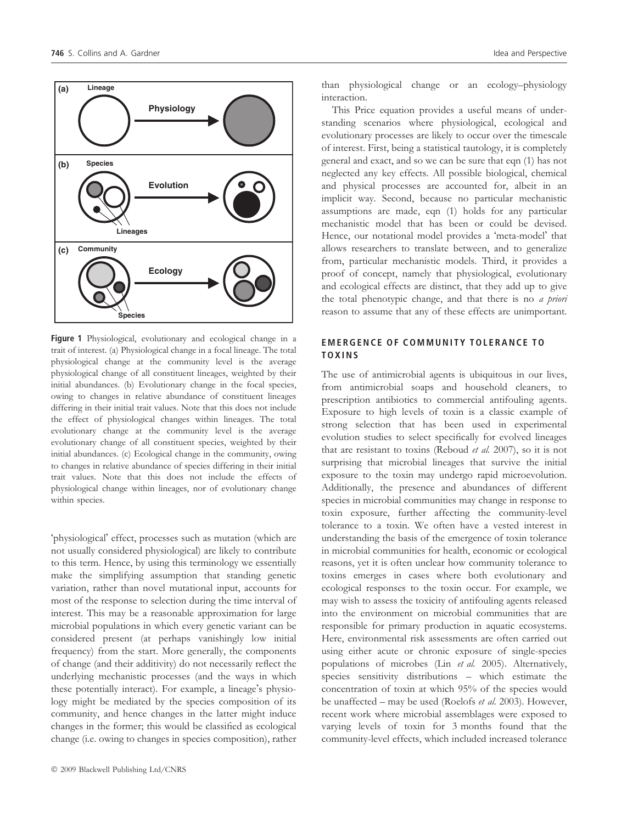**(a)**

**(b)**

**(c)**



Figure 1 Physiological, evolutionary and ecological change in a trait of interest. (a) Physiological change in a focal lineage. The total physiological change at the community level is the average physiological change of all constituent lineages, weighted by their initial abundances. (b) Evolutionary change in the focal species, owing to changes in relative abundance of constituent lineages differing in their initial trait values. Note that this does not include the effect of physiological changes within lineages. The total evolutionary change at the community level is the average evolutionary change of all constituent species, weighted by their initial abundances. (c) Ecological change in the community, owing to changes in relative abundance of species differing in their initial trait values. Note that this does not include the effects of physiological change within lineages, nor of evolutionary change within species.

**Species**

'physiological' effect, processes such as mutation (which are not usually considered physiological) are likely to contribute to this term. Hence, by using this terminology we essentially make the simplifying assumption that standing genetic variation, rather than novel mutational input, accounts for most of the response to selection during the time interval of interest. This may be a reasonable approximation for large microbial populations in which every genetic variant can be considered present (at perhaps vanishingly low initial frequency) from the start. More generally, the components of change (and their additivity) do not necessarily reflect the underlying mechanistic processes (and the ways in which these potentially interact). For example, a lineage's physiology might be mediated by the species composition of its community, and hence changes in the latter might induce changes in the former; this would be classified as ecological change (i.e. owing to changes in species composition), rather than physiological change or an ecology–physiology interaction.

This Price equation provides a useful means of understanding scenarios where physiological, ecological and evolutionary processes are likely to occur over the timescale of interest. First, being a statistical tautology, it is completely general and exact, and so we can be sure that eqn (1) has not neglected any key effects. All possible biological, chemical and physical processes are accounted for, albeit in an implicit way. Second, because no particular mechanistic assumptions are made, eqn (1) holds for any particular mechanistic model that has been or could be devised. Hence, our notational model provides a 'meta-model' that allows researchers to translate between, and to generalize from, particular mechanistic models. Third, it provides a proof of concept, namely that physiological, evolutionary and ecological effects are distinct, that they add up to give the total phenotypic change, and that there is no a priori reason to assume that any of these effects are unimportant.

# EMERGENCE OF COMMUNITY TOLERANCE TO TOXINS

The use of antimicrobial agents is ubiquitous in our lives, from antimicrobial soaps and household cleaners, to prescription antibiotics to commercial antifouling agents. Exposure to high levels of toxin is a classic example of strong selection that has been used in experimental evolution studies to select specifically for evolved lineages that are resistant to toxins (Reboud et al. 2007), so it is not surprising that microbial lineages that survive the initial exposure to the toxin may undergo rapid microevolution. Additionally, the presence and abundances of different species in microbial communities may change in response to toxin exposure, further affecting the community-level tolerance to a toxin. We often have a vested interest in understanding the basis of the emergence of toxin tolerance in microbial communities for health, economic or ecological reasons, yet it is often unclear how community tolerance to toxins emerges in cases where both evolutionary and ecological responses to the toxin occur. For example, we may wish to assess the toxicity of antifouling agents released into the environment on microbial communities that are responsible for primary production in aquatic ecosystems. Here, environmental risk assessments are often carried out using either acute or chronic exposure of single-species populations of microbes (Lin et al. 2005). Alternatively, species sensitivity distributions – which estimate the concentration of toxin at which 95% of the species would be unaffected – may be used (Roelofs et al. 2003). However, recent work where microbial assemblages were exposed to varying levels of toxin for 3 months found that the community-level effects, which included increased tolerance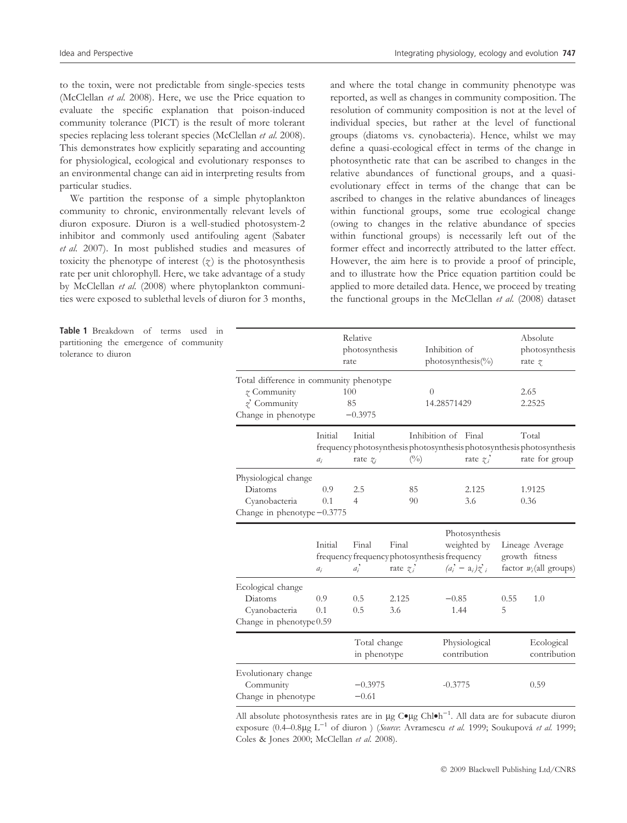to the toxin, were not predictable from single-species tests (McClellan et al. 2008). Here, we use the Price equation to evaluate the specific explanation that poison-induced community tolerance (PICT) is the result of more tolerant species replacing less tolerant species (McClellan et al. 2008). This demonstrates how explicitly separating and accounting for physiological, ecological and evolutionary responses to an environmental change can aid in interpreting results from particular studies.

We partition the response of a simple phytoplankton community to chronic, environmentally relevant levels of diuron exposure. Diuron is a well-studied photosystem-2 inhibitor and commonly used antifouling agent (Sabater et al. 2007). In most published studies and measures of toxicity the phenotype of interest  $(z)$  is the photosynthesis rate per unit chlorophyll. Here, we take advantage of a study by McClellan et al. (2008) where phytoplankton communities were exposed to sublethal levels of diuron for 3 months,

Table 1 Breakdown of terms used in partitioning the emergence of community tolerance to diuron

and where the total change in community phenotype was reported, as well as changes in community composition. The resolution of community composition is not at the level of individual species, but rather at the level of functional groups (diatoms vs. cynobacteria). Hence, whilst we may define a quasi-ecological effect in terms of the change in photosynthetic rate that can be ascribed to changes in the relative abundances of functional groups, and a quasievolutionary effect in terms of the change that can be ascribed to changes in the relative abundances of lineages within functional groups, some true ecological change (owing to changes in the relative abundance of species within functional groups) is necessarily left out of the former effect and incorrectly attributed to the latter effect. However, the aim here is to provide a proof of principle, and to illustrate how the Price equation partition could be applied to more detailed data. Hence, we proceed by treating the functional groups in the McClellan et al. (2008) dataset

|                                                                                                           |                        | Relative<br>photosynthesis<br>rate |                         | Inhibition of<br>photosynthesis(%)                                                                                  |                | Absolute<br>photosynthesis<br>rate $\zeta$                     |  |
|-----------------------------------------------------------------------------------------------------------|------------------------|------------------------------------|-------------------------|---------------------------------------------------------------------------------------------------------------------|----------------|----------------------------------------------------------------|--|
| Total difference in community phenotype<br>$\chi$ Community<br>$\vec{z}$ Community<br>Change in phenotype | 100<br>85<br>$-0.3975$ |                                    | $\Omega$<br>14.28571429 |                                                                                                                     | 2.65<br>2.2525 |                                                                |  |
|                                                                                                           | Initial<br>$a_i$       | Initial<br>rate $z_i$              | $\binom{0}{0}$          | Inhibition of Final<br>frequency photosynthesis photosynthesis photosynthesis photosynthesis<br>rate $\gamma$ ?     |                | Total<br>rate for group                                        |  |
| Physiological change<br>Diatoms<br>Cyanobacteria<br>Change in phenotype $-0.3775$                         | 0.9<br>0.1             | 2.5<br>4                           | 85<br>90                | 2.125<br>3.6                                                                                                        |                | 1.9125<br>0.36                                                 |  |
|                                                                                                           | Initial<br>$a_i$       | Final<br>$a_i^{\prime}$            | Final<br>rate $z_i$     | Photosynthesis<br>weighted by<br>frequency frequency photosynthesis frequency<br>$(a_i^{\prime} - a_i)z_i^{\prime}$ |                | Lineage Average<br>growth fitness<br>factor $w_i$ (all groups) |  |
| Ecological change<br>Diatoms<br>Cyanobacteria<br>Change in phenotype0.59                                  | 0.9<br>0.1             | 0.5<br>0.5                         | 2.125<br>3.6            | $-0.85$<br>1.44                                                                                                     | 0.55<br>5      | 1.0                                                            |  |
|                                                                                                           |                        | Total change<br>in phenotype       |                         | Physiological<br>contribution                                                                                       |                | Ecological<br>contribution                                     |  |
| Evolutionary change<br>Community<br>Change in phenotype                                                   | $-0.3975$<br>$-0.61$   |                                    | $-0.3775$               | 0.59                                                                                                                |                |                                                                |  |

All absolute photosynthesis rates are in  $\mu$ g C $\bullet$  $\mu$ g Chl $\bullet$ h<sup>-1</sup>. All data are for subacute diuron exposure (0.4–0.8µg  $L^{-1}$  of diuron ) (Source: Avramescu et al. 1999; Soukupová et al. 1999; Coles & Jones 2000; McClellan et al. 2008).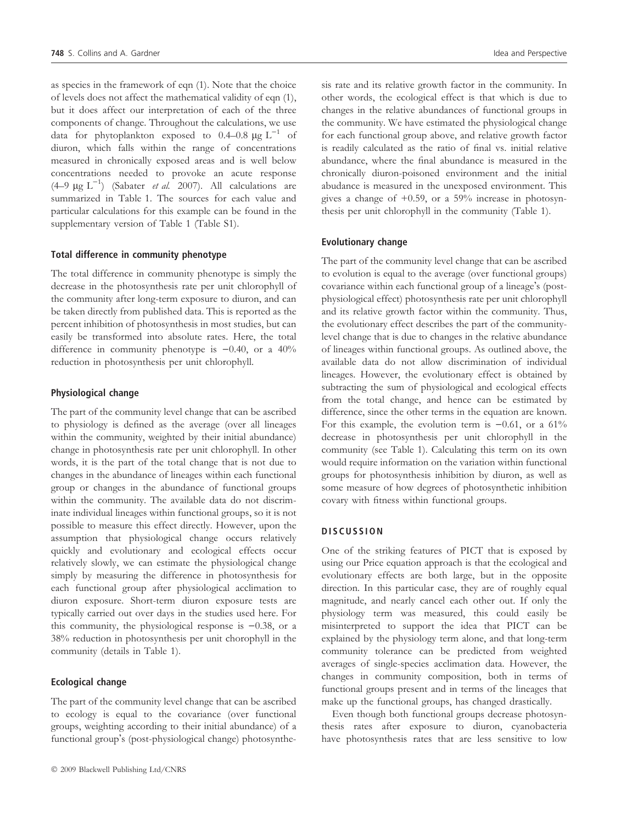as species in the framework of eqn (1). Note that the choice of levels does not affect the mathematical validity of eqn (1), but it does affect our interpretation of each of the three components of change. Throughout the calculations, we use data for phytoplankton exposed to  $0.4-0.8 \mu g L^{-1}$  of diuron, which falls within the range of concentrations measured in chronically exposed areas and is well below concentrations needed to provoke an acute response (4–9  $\mu$ g L<sup>-1</sup>) (Sabater *et al.* 2007). All calculations are summarized in Table 1. The sources for each value and particular calculations for this example can be found in the supplementary version of Table 1 (Table S1).

#### Total difference in community phenotype

The total difference in community phenotype is simply the decrease in the photosynthesis rate per unit chlorophyll of the community after long-term exposure to diuron, and can be taken directly from published data. This is reported as the percent inhibition of photosynthesis in most studies, but can easily be transformed into absolute rates. Here, the total difference in community phenotype is  $-0.40$ , or a  $40\%$ reduction in photosynthesis per unit chlorophyll.

#### Physiological change

The part of the community level change that can be ascribed to physiology is defined as the average (over all lineages within the community, weighted by their initial abundance) change in photosynthesis rate per unit chlorophyll. In other words, it is the part of the total change that is not due to changes in the abundance of lineages within each functional group or changes in the abundance of functional groups within the community. The available data do not discriminate individual lineages within functional groups, so it is not possible to measure this effect directly. However, upon the assumption that physiological change occurs relatively quickly and evolutionary and ecological effects occur relatively slowly, we can estimate the physiological change simply by measuring the difference in photosynthesis for each functional group after physiological acclimation to diuron exposure. Short-term diuron exposure tests are typically carried out over days in the studies used here. For this community, the physiological response is  $-0.38$ , or a 38% reduction in photosynthesis per unit chorophyll in the community (details in Table 1).

#### Ecological change

The part of the community level change that can be ascribed to ecology is equal to the covariance (over functional groups, weighting according to their initial abundance) of a functional group's (post-physiological change) photosynthesis rate and its relative growth factor in the community. In other words, the ecological effect is that which is due to changes in the relative abundances of functional groups in the community. We have estimated the physiological change for each functional group above, and relative growth factor is readily calculated as the ratio of final vs. initial relative abundance, where the final abundance is measured in the chronically diuron-poisoned environment and the initial abudance is measured in the unexposed environment. This gives a change of +0.59, or a 59% increase in photosynthesis per unit chlorophyll in the community (Table 1).

### Evolutionary change

The part of the community level change that can be ascribed to evolution is equal to the average (over functional groups) covariance within each functional group of a lineage's (postphysiological effect) photosynthesis rate per unit chlorophyll and its relative growth factor within the community. Thus, the evolutionary effect describes the part of the communitylevel change that is due to changes in the relative abundance of lineages within functional groups. As outlined above, the available data do not allow discrimination of individual lineages. However, the evolutionary effect is obtained by subtracting the sum of physiological and ecological effects from the total change, and hence can be estimated by difference, since the other terms in the equation are known. For this example, the evolution term is  $-0.61$ , or a 61% decrease in photosynthesis per unit chlorophyll in the community (see Table 1). Calculating this term on its own would require information on the variation within functional groups for photosynthesis inhibition by diuron, as well as some measure of how degrees of photosynthetic inhibition covary with fitness within functional groups.

#### **DISCUSSION**

One of the striking features of PICT that is exposed by using our Price equation approach is that the ecological and evolutionary effects are both large, but in the opposite direction. In this particular case, they are of roughly equal magnitude, and nearly cancel each other out. If only the physiology term was measured, this could easily be misinterpreted to support the idea that PICT can be explained by the physiology term alone, and that long-term community tolerance can be predicted from weighted averages of single-species acclimation data. However, the changes in community composition, both in terms of functional groups present and in terms of the lineages that make up the functional groups, has changed drastically.

Even though both functional groups decrease photosynthesis rates after exposure to diuron, cyanobacteria have photosynthesis rates that are less sensitive to low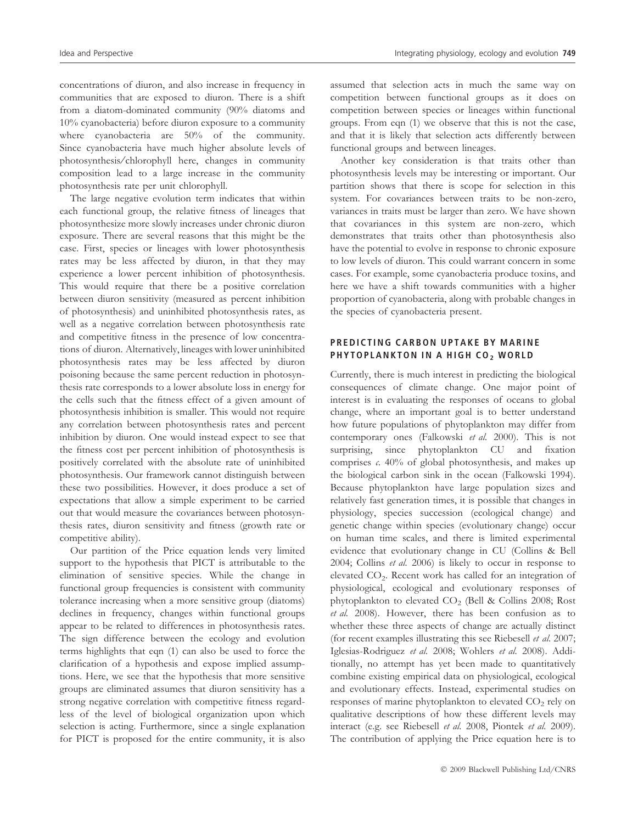concentrations of diuron, and also increase in frequency in communities that are exposed to diuron. There is a shift from a diatom-dominated community (90% diatoms and 10% cyanobacteria) before diuron exposure to a community where cyanobacteria are 50% of the community. Since cyanobacteria have much higher absolute levels of photosynthesis⁄ chlorophyll here, changes in community composition lead to a large increase in the community photosynthesis rate per unit chlorophyll.

The large negative evolution term indicates that within each functional group, the relative fitness of lineages that photosynthesize more slowly increases under chronic diuron exposure. There are several reasons that this might be the case. First, species or lineages with lower photosynthesis rates may be less affected by diuron, in that they may experience a lower percent inhibition of photosynthesis. This would require that there be a positive correlation between diuron sensitivity (measured as percent inhibition of photosynthesis) and uninhibited photosynthesis rates, as well as a negative correlation between photosynthesis rate and competitive fitness in the presence of low concentrations of diuron. Alternatively, lineages with lower uninhibited photosynthesis rates may be less affected by diuron poisoning because the same percent reduction in photosynthesis rate corresponds to a lower absolute loss in energy for the cells such that the fitness effect of a given amount of photosynthesis inhibition is smaller. This would not require any correlation between photosynthesis rates and percent inhibition by diuron. One would instead expect to see that the fitness cost per percent inhibition of photosynthesis is positively correlated with the absolute rate of uninhibited photosynthesis. Our framework cannot distinguish between these two possibilities. However, it does produce a set of expectations that allow a simple experiment to be carried out that would measure the covariances between photosynthesis rates, diuron sensitivity and fitness (growth rate or competitive ability).

Our partition of the Price equation lends very limited support to the hypothesis that PICT is attributable to the elimination of sensitive species. While the change in functional group frequencies is consistent with community tolerance increasing when a more sensitive group (diatoms) declines in frequency, changes within functional groups appear to be related to differences in photosynthesis rates. The sign difference between the ecology and evolution terms highlights that eqn (1) can also be used to force the clarification of a hypothesis and expose implied assumptions. Here, we see that the hypothesis that more sensitive groups are eliminated assumes that diuron sensitivity has a strong negative correlation with competitive fitness regardless of the level of biological organization upon which selection is acting. Furthermore, since a single explanation for PICT is proposed for the entire community, it is also assumed that selection acts in much the same way on competition between functional groups as it does on competition between species or lineages within functional groups. From eqn (1) we observe that this is not the case, and that it is likely that selection acts differently between functional groups and between lineages.

Another key consideration is that traits other than photosynthesis levels may be interesting or important. Our partition shows that there is scope for selection in this system. For covariances between traits to be non-zero, variances in traits must be larger than zero. We have shown that covariances in this system are non-zero, which demonstrates that traits other than photosynthesis also have the potential to evolve in response to chronic exposure to low levels of diuron. This could warrant concern in some cases. For example, some cyanobacteria produce toxins, and here we have a shift towards communities with a higher proportion of cyanobacteria, along with probable changes in the species of cyanobacteria present.

# PREDICTING CARBON UPTAKE BY MARINE PHYTOPLANKTON IN A HIGH CO<sub>2</sub> WORLD

Currently, there is much interest in predicting the biological consequences of climate change. One major point of interest is in evaluating the responses of oceans to global change, where an important goal is to better understand how future populations of phytoplankton may differ from contemporary ones (Falkowski et al. 2000). This is not surprising, since phytoplankton CU and fixation comprises  $c$ . 40% of global photosynthesis, and makes up the biological carbon sink in the ocean (Falkowski 1994). Because phytoplankton have large population sizes and relatively fast generation times, it is possible that changes in physiology, species succession (ecological change) and genetic change within species (evolutionary change) occur on human time scales, and there is limited experimental evidence that evolutionary change in CU (Collins & Bell 2004; Collins et al. 2006) is likely to occur in response to elevated CO2. Recent work has called for an integration of physiological, ecological and evolutionary responses of phytoplankton to elevated CO2 (Bell & Collins 2008; Rost et al. 2008). However, there has been confusion as to whether these three aspects of change are actually distinct (for recent examples illustrating this see Riebesell et al. 2007; Iglesias-Rodriguez et al. 2008; Wohlers et al. 2008). Additionally, no attempt has yet been made to quantitatively combine existing empirical data on physiological, ecological and evolutionary effects. Instead, experimental studies on responses of marine phytoplankton to elevated  $CO<sub>2</sub>$  rely on qualitative descriptions of how these different levels may interact (e.g. see Riebesell et al. 2008, Piontek et al. 2009). The contribution of applying the Price equation here is to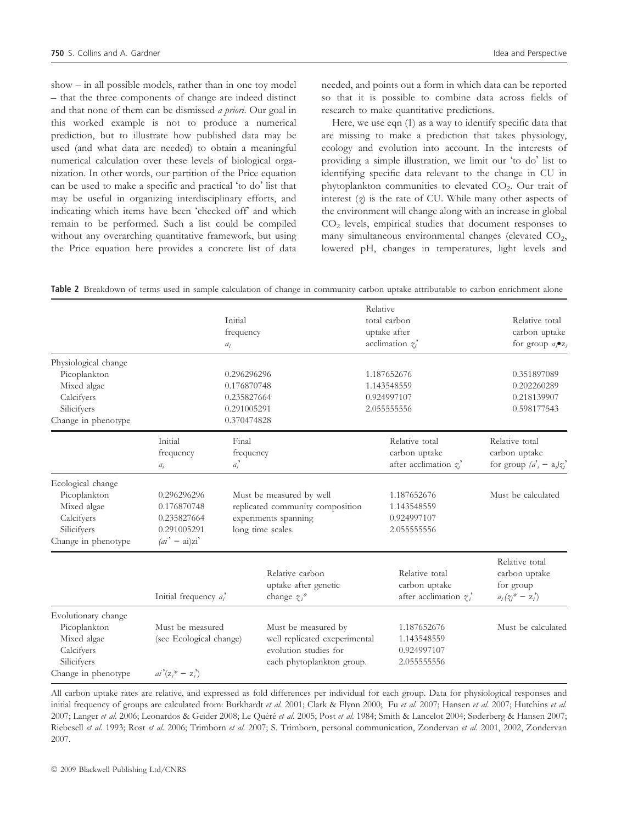show – in all possible models, rather than in one toy model – that the three components of change are indeed distinct and that none of them can be dismissed a priori. Our goal in this worked example is not to produce a numerical prediction, but to illustrate how published data may be used (and what data are needed) to obtain a meaningful numerical calculation over these levels of biological organization. In other words, our partition of the Price equation can be used to make a specific and practical 'to do' list that may be useful in organizing interdisciplinary efforts, and indicating which items have been 'checked off' and which remain to be performed. Such a list could be compiled without any overarching quantitative framework, but using the Price equation here provides a concrete list of data needed, and points out a form in which data can be reported so that it is possible to combine data across fields of research to make quantitative predictions.

Here, we use eqn (1) as a way to identify specific data that are missing to make a prediction that takes physiology, ecology and evolution into account. In the interests of providing a simple illustration, we limit our 'to do' list to identifying specific data relevant to the change in CU in phytoplankton communities to elevated CO<sub>2</sub>. Our trait of interest  $(z)$  is the rate of CU. While many other aspects of the environment will change along with an increase in global CO2 levels, empirical studies that document responses to many simultaneous environmental changes (elevated CO<sub>2</sub>, lowered pH, changes in temperatures, light levels and

|  |  | <b>Table 2</b> Breakdown of terms used in sample calculation of change in community carbon uptake attributable to carbon enrichment alone |  |  |  |  |  |  |  |  |  |  |  |  |  |  |  |
|--|--|-------------------------------------------------------------------------------------------------------------------------------------------|--|--|--|--|--|--|--|--|--|--|--|--|--|--|--|
|--|--|-------------------------------------------------------------------------------------------------------------------------------------------|--|--|--|--|--|--|--|--|--|--|--|--|--|--|--|

| Physiological change<br>Picoplankton<br>Mixed algae                                                                                                                                 |                                                                             | Initial<br>frequency<br>$a_i$<br>0.296296296<br>0.176870748 |                                                                                                            | Relative<br>total carbon<br>uptake after<br>acclimation $z_i$<br>1.187652676<br>1.143548559 | Relative total<br>carbon uptake<br>for group $a_i \bullet z_i$<br>0.351897089<br>0.202260289 |  |
|-------------------------------------------------------------------------------------------------------------------------------------------------------------------------------------|-----------------------------------------------------------------------------|-------------------------------------------------------------|------------------------------------------------------------------------------------------------------------|---------------------------------------------------------------------------------------------|----------------------------------------------------------------------------------------------|--|
| Calcifyers<br>Silicifyers<br>Change in phenotype                                                                                                                                    |                                                                             | 0.235827664<br>0.291005291<br>0.370474828                   |                                                                                                            | 0.924997107<br>2.055555556                                                                  | 0.218139907<br>0.598177543                                                                   |  |
|                                                                                                                                                                                     | <b>Initial</b><br>frequency<br>$a_i$                                        | Final<br>frequency<br>$a_i^{\prime}$                        |                                                                                                            | Relative total<br>carbon uptake<br>after acclimation $\chi_i$                               | Relative total<br>carbon uptake<br>for group $(\vec{a}_i - a_i)z_i^*$                        |  |
| Ecological change<br>Picoplankton<br>0.296296296<br>Mixed algae<br>0.176870748<br>Calcifyers<br>0.235827664<br>0.291005291<br>Silicifyers<br>Change in phenotype<br>$(ai' - ai)zi'$ |                                                                             |                                                             | Must be measured by well<br>replicated community composition<br>experiments spanning<br>long time scales.  | 1.187652676<br>1.143548559<br>0.924997107<br>2.055555556                                    | Must be calculated                                                                           |  |
|                                                                                                                                                                                     | Initial frequency $a_i$                                                     |                                                             | Relative carbon<br>uptake after genetic<br>change $z_i^*$                                                  | Relative total<br>carbon uptake<br>after acclimation $\chi_i$                               | Relative total<br>carbon uptake<br>for group<br>$a_i (z_i^* - z_i^*)$                        |  |
| Evolutionary change<br>Picoplankton<br>Mixed algae<br>Calcifyers<br>Silicifyers<br>Change in phenotype                                                                              | Must be measured<br>(see Ecological change)<br>$ai^{\prime}(z_i^* - z_i^*)$ |                                                             | Must be measured by<br>well replicated exeperimental<br>evolution studies for<br>each phytoplankton group. | 1.187652676<br>1.143548559<br>0.924997107<br>2.055555556                                    | Must be calculated                                                                           |  |

All carbon uptake rates are relative, and expressed as fold differences per individual for each group. Data for physiological responses and initial frequency of groups are calculated from: Burkhardt et al. 2001; Clark & Flynn 2000; Fu et al. 2007; Hansen et al. 2007; Hutchins et al. 2007; Langer et al. 2006; Leonardos & Geider 2008; Le Quéré et al. 2005; Post et al. 1984; Smith & Lancelot 2004; Søderberg & Hansen 2007; Riebesell et al. 1993; Rost et al. 2006; Trimborn et al. 2007; S. Trimborn, personal communication, Zondervan et al. 2001, 2002, Zondervan 2007.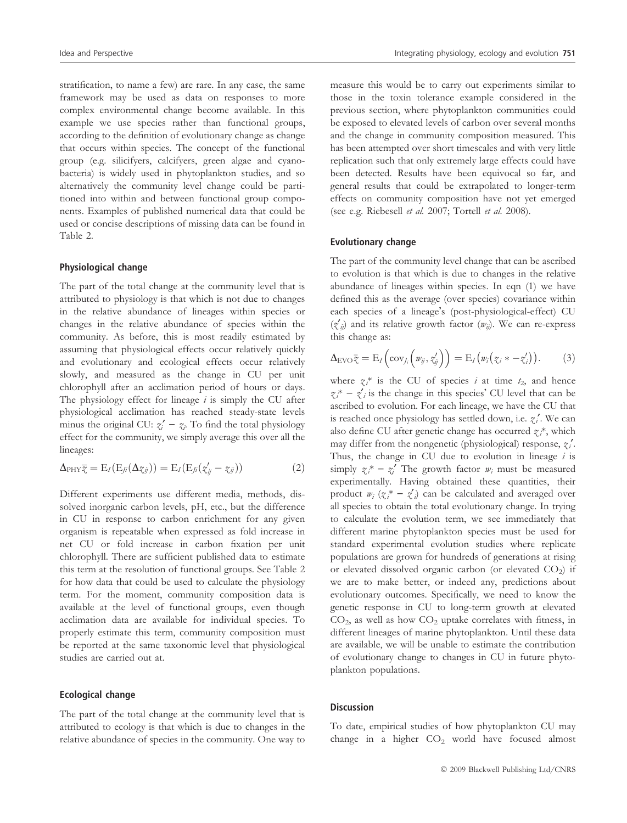stratification, to name a few) are rare. In any case, the same framework may be used as data on responses to more complex environmental change become available. In this example we use species rather than functional groups, according to the definition of evolutionary change as change that occurs within species. The concept of the functional group (e.g. silicifyers, calcifyers, green algae and cyanobacteria) is widely used in phytoplankton studies, and so alternatively the community level change could be partitioned into within and between functional group components. Examples of published numerical data that could be used or concise descriptions of missing data can be found in Table 2.

#### Physiological change

The part of the total change at the community level that is attributed to physiology is that which is not due to changes in the relative abundance of lineages within species or changes in the relative abundance of species within the community. As before, this is most readily estimated by assuming that physiological effects occur relatively quickly and evolutionary and ecological effects occur relatively slowly, and measured as the change in CU per unit chlorophyll after an acclimation period of hours or days. The physiology effect for lineage  $i$  is simply the CU after physiological acclimation has reached steady-state levels minus the original CU:  $z_i' - z_i$ . To find the total physiology effect for the community, we simply average this over all the lineages:

$$
\Delta_{\text{PHY}}\overline{\zeta} = \mathrm{E}_{I}(\mathrm{E}_{Ji}(\Delta_{\zeta_{ij}})) = \mathrm{E}_{I}(\mathrm{E}_{Ji}(\zeta_{ij}^{\prime} - \zeta_{ij}))
$$
\n(2)

Different experiments use different media, methods, dissolved inorganic carbon levels, pH, etc., but the difference in CU in response to carbon enrichment for any given organism is repeatable when expressed as fold increase in net CU or fold increase in carbon fixation per unit chlorophyll. There are sufficient published data to estimate this term at the resolution of functional groups. See Table 2 for how data that could be used to calculate the physiology term. For the moment, community composition data is available at the level of functional groups, even though acclimation data are available for individual species. To properly estimate this term, community composition must be reported at the same taxonomic level that physiological studies are carried out at.

# Ecological change

The part of the total change at the community level that is attributed to ecology is that which is due to changes in the relative abundance of species in the community. One way to

measure this would be to carry out experiments similar to those in the toxin tolerance example considered in the previous section, where phytoplankton communities could be exposed to elevated levels of carbon over several months and the change in community composition measured. This has been attempted over short timescales and with very little replication such that only extremely large effects could have been detected. Results have been equivocal so far, and general results that could be extrapolated to longer-term effects on community composition have not yet emerged (see e.g. Riebesell et al. 2007; Tortell et al. 2008).

### Evolutionary change

The part of the community level change that can be ascribed to evolution is that which is due to changes in the relative abundance of lineages within species. In eqn (1) we have defined this as the average (over species) covariance within each species of a lineage's (post-physiological-effect) CU  $(\zeta_{ij})$  and its relative growth factor  $(w_{ij})$ . We can re-express this change as:

$$
\Delta_{\text{EVO}}\bar{\chi} = E_I\Big(\text{cov}_{J_i}\Big(\mathbf{w}_{ij}, \mathbf{x}'_{ij}\Big)\Big) = E_I\big(\mathbf{w}_i\big(\mathbf{x}_i \ast - \mathbf{x}'_i\big)\big). \tag{3}
$$

where  $z_i^*$  is the CU of species *i* at time  $t_2$ , and hence  $\chi_i^* - \chi_i'$  is the change in this species' CU level that can be ascribed to evolution. For each lineage, we have the CU that is reached once physiology has settled down, i.e.  $\chi_i'$ . We can also define CU after genetic change has occurred  $z_i^*$ , which may differ from the nongenetic (physiological) response,  $z_i'$ . Thus, the change in CU due to evolution in lineage  $i$  is simply  $z_i^* - z'_i$  The growth factor  $w_i$  must be measured experimentally. Having obtained these quantities, their product  $w_i$  ( $z_i^* - z'_i$ ) can be calculated and averaged over all species to obtain the total evolutionary change. In trying to calculate the evolution term, we see immediately that different marine phytoplankton species must be used for standard experimental evolution studies where replicate populations are grown for hundreds of generations at rising or elevated dissolved organic carbon (or elevated  $CO<sub>2</sub>$ ) if we are to make better, or indeed any, predictions about evolutionary outcomes. Specifically, we need to know the genetic response in CU to long-term growth at elevated  $CO<sub>2</sub>$ , as well as how  $CO<sub>2</sub>$  uptake correlates with fitness, in different lineages of marine phytoplankton. Until these data are available, we will be unable to estimate the contribution of evolutionary change to changes in CU in future phytoplankton populations.

### **Discussion**

To date, empirical studies of how phytoplankton CU may change in a higher  $CO<sub>2</sub>$  world have focused almost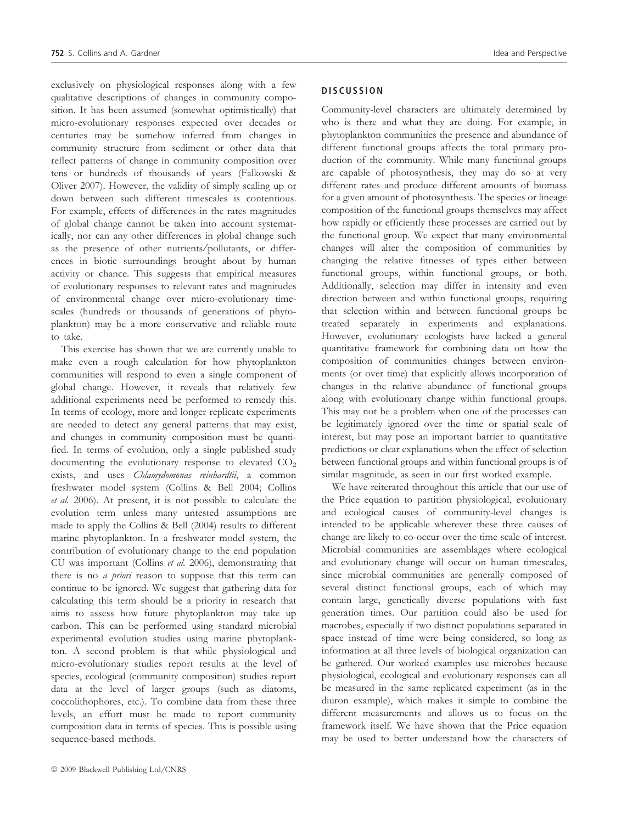exclusively on physiological responses along with a few qualitative descriptions of changes in community composition. It has been assumed (somewhat optimistically) that micro-evolutionary responses expected over decades or centuries may be somehow inferred from changes in community structure from sediment or other data that reflect patterns of change in community composition over tens or hundreds of thousands of years (Falkowski & Oliver 2007). However, the validity of simply scaling up or down between such different timescales is contentious. For example, effects of differences in the rates magnitudes of global change cannot be taken into account systematically, nor can any other differences in global change such as the presence of other nutrients⁄ pollutants, or differences in biotic surroundings brought about by human activity or chance. This suggests that empirical measures of evolutionary responses to relevant rates and magnitudes of environmental change over micro-evolutionary timescales (hundreds or thousands of generations of phytoplankton) may be a more conservative and reliable route to take.

This exercise has shown that we are currently unable to make even a rough calculation for how phytoplankton communities will respond to even a single component of global change. However, it reveals that relatively few additional experiments need be performed to remedy this. In terms of ecology, more and longer replicate experiments are needed to detect any general patterns that may exist, and changes in community composition must be quantified. In terms of evolution, only a single published study documenting the evolutionary response to elevated  $CO<sub>2</sub>$ exists, and uses *Chlamydomonas reinhardtii*, a common freshwater model system (Collins & Bell 2004; Collins et al. 2006). At present, it is not possible to calculate the evolution term unless many untested assumptions are made to apply the Collins & Bell (2004) results to different marine phytoplankton. In a freshwater model system, the contribution of evolutionary change to the end population CU was important (Collins et al. 2006), demonstrating that there is no *a priori* reason to suppose that this term can continue to be ignored. We suggest that gathering data for calculating this term should be a priority in research that aims to assess how future phytoplankton may take up carbon. This can be performed using standard microbial experimental evolution studies using marine phytoplankton. A second problem is that while physiological and micro-evolutionary studies report results at the level of species, ecological (community composition) studies report data at the level of larger groups (such as diatoms, coccolithophores, etc.). To combine data from these three levels, an effort must be made to report community composition data in terms of species. This is possible using sequence-based methods.

# **DISCUSSION**

Community-level characters are ultimately determined by who is there and what they are doing. For example, in phytoplankton communities the presence and abundance of different functional groups affects the total primary production of the community. While many functional groups are capable of photosynthesis, they may do so at very different rates and produce different amounts of biomass for a given amount of photosynthesis. The species or lineage composition of the functional groups themselves may affect how rapidly or efficiently these processes are carried out by the functional group. We expect that many environmental changes will alter the composition of communities by changing the relative fitnesses of types either between functional groups, within functional groups, or both. Additionally, selection may differ in intensity and even direction between and within functional groups, requiring that selection within and between functional groups be treated separately in experiments and explanations. However, evolutionary ecologists have lacked a general quantitative framework for combining data on how the composition of communities changes between environments (or over time) that explicitly allows incorporation of changes in the relative abundance of functional groups along with evolutionary change within functional groups. This may not be a problem when one of the processes can be legitimately ignored over the time or spatial scale of interest, but may pose an important barrier to quantitative predictions or clear explanations when the effect of selection between functional groups and within functional groups is of similar magnitude, as seen in our first worked example.

We have reiterated throughout this article that our use of the Price equation to partition physiological, evolutionary and ecological causes of community-level changes is intended to be applicable wherever these three causes of change are likely to co-occur over the time scale of interest. Microbial communities are assemblages where ecological and evolutionary change will occur on human timescales, since microbial communities are generally composed of several distinct functional groups, each of which may contain large, genetically diverse populations with fast generation times. Our partition could also be used for macrobes, especially if two distinct populations separated in space instead of time were being considered, so long as information at all three levels of biological organization can be gathered. Our worked examples use microbes because physiological, ecological and evolutionary responses can all be measured in the same replicated experiment (as in the diuron example), which makes it simple to combine the different measurements and allows us to focus on the framework itself. We have shown that the Price equation may be used to better understand how the characters of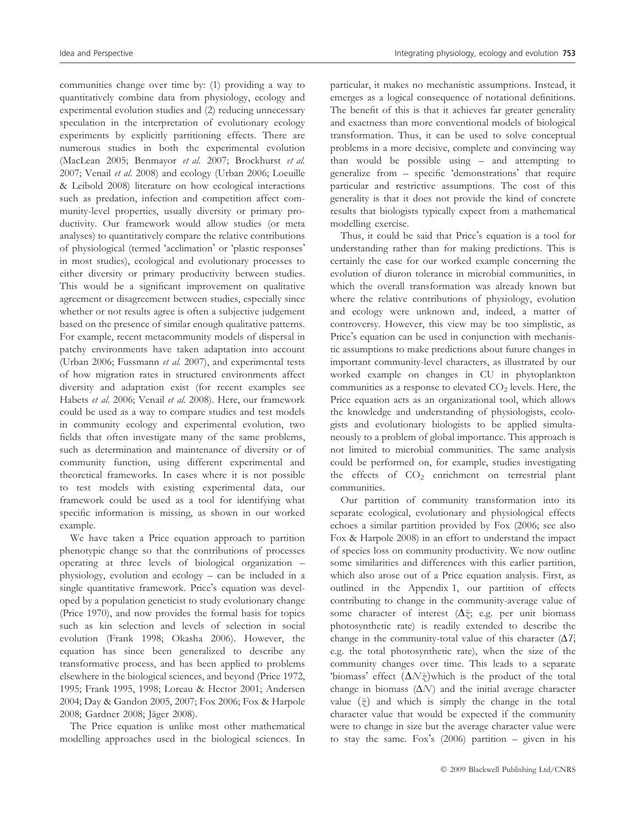communities change over time by: (1) providing a way to quantitatively combine data from physiology, ecology and experimental evolution studies and (2) reducing unnecessary speculation in the interpretation of evolutionary ecology experiments by explicitly partitioning effects. There are numerous studies in both the experimental evolution (MacLean 2005; Benmayor et al. 2007; Brockhurst et al. 2007; Venail et al. 2008) and ecology (Urban 2006; Loeuille & Leibold 2008) literature on how ecological interactions such as predation, infection and competition affect community-level properties, usually diversity or primary productivity. Our framework would allow studies (or meta analyses) to quantitatively compare the relative contributions of physiological (termed 'acclimation' or 'plastic responses' in most studies), ecological and evolutionary processes to either diversity or primary productivity between studies. This would be a significant improvement on qualitative agreement or disagreement between studies, especially since whether or not results agree is often a subjective judgement based on the presence of similar enough qualitative patterns. For example, recent metacommunity models of dispersal in patchy environments have taken adaptation into account (Urban 2006; Fussmann et al. 2007), and experimental tests of how migration rates in structured environments affect diversity and adaptation exist (for recent examples see Habets et al. 2006; Venail et al. 2008). Here, our framework could be used as a way to compare studies and test models in community ecology and experimental evolution, two fields that often investigate many of the same problems, such as determination and maintenance of diversity or of community function, using different experimental and theoretical frameworks. In cases where it is not possible to test models with existing experimental data, our framework could be used as a tool for identifying what specific information is missing, as shown in our worked example.

We have taken a Price equation approach to partition phenotypic change so that the contributions of processes operating at three levels of biological organization – physiology, evolution and ecology – can be included in a single quantitative framework. Price's equation was developed by a population geneticist to study evolutionary change (Price 1970), and now provides the formal basis for topics such as kin selection and levels of selection in social evolution (Frank 1998; Okasha 2006). However, the equation has since been generalized to describe any transformative process, and has been applied to problems elsewhere in the biological sciences, and beyond (Price 1972, 1995; Frank 1995, 1998; Loreau & Hector 2001; Andersen 2004; Day & Gandon 2005, 2007; Fox 2006; Fox & Harpole 2008; Gardner 2008; Jäger 2008).

The Price equation is unlike most other mathematical modelling approaches used in the biological sciences. In particular, it makes no mechanistic assumptions. Instead, it emerges as a logical consequence of notational definitions. The benefit of this is that it achieves far greater generality and exactness than more conventional models of biological transformation. Thus, it can be used to solve conceptual problems in a more decisive, complete and convincing way than would be possible using – and attempting to generalize from - specific 'demonstrations' that require particular and restrictive assumptions. The cost of this generality is that it does not provide the kind of concrete results that biologists typically expect from a mathematical modelling exercise.

Thus, it could be said that Price's equation is a tool for understanding rather than for making predictions. This is certainly the case for our worked example concerning the evolution of diuron tolerance in microbial communities, in which the overall transformation was already known but where the relative contributions of physiology, evolution and ecology were unknown and, indeed, a matter of controversy. However, this view may be too simplistic, as Price's equation can be used in conjunction with mechanistic assumptions to make predictions about future changes in important community-level characters, as illustrated by our worked example on changes in CU in phytoplankton communities as a response to elevated  $CO<sub>2</sub>$  levels. Here, the Price equation acts as an organizational tool, which allows the knowledge and understanding of physiologists, ecologists and evolutionary biologists to be applied simultaneously to a problem of global importance. This approach is not limited to microbial communities. The same analysis could be performed on, for example, studies investigating the effects of  $CO<sub>2</sub>$  enrichment on terrestrial plant communities.

Our partition of community transformation into its separate ecological, evolutionary and physiological effects echoes a similar partition provided by Fox (2006; see also Fox & Harpole 2008) in an effort to understand the impact of species loss on community productivity. We now outline some similarities and differences with this earlier partition, which also arose out of a Price equation analysis. First, as outlined in the Appendix 1, our partition of effects contributing to change in the community-average value of some character of interest ( $\Delta \overline{z}$ ; e.g. per unit biomass photosynthetic rate) is readily extended to describe the change in the community-total value of this character  $(\Delta T;$ e.g. the total photosynthetic rate), when the size of the community changes over time. This leads to a separate 'biomass' effect  $(\Delta N\bar{z})$  which is the product of the total change in biomass  $(\Delta N)$  and the initial average character value  $(\bar{z})$  and which is simply the change in the total character value that would be expected if the community were to change in size but the average character value were to stay the same. Fox's  $(2006)$  partition – given in his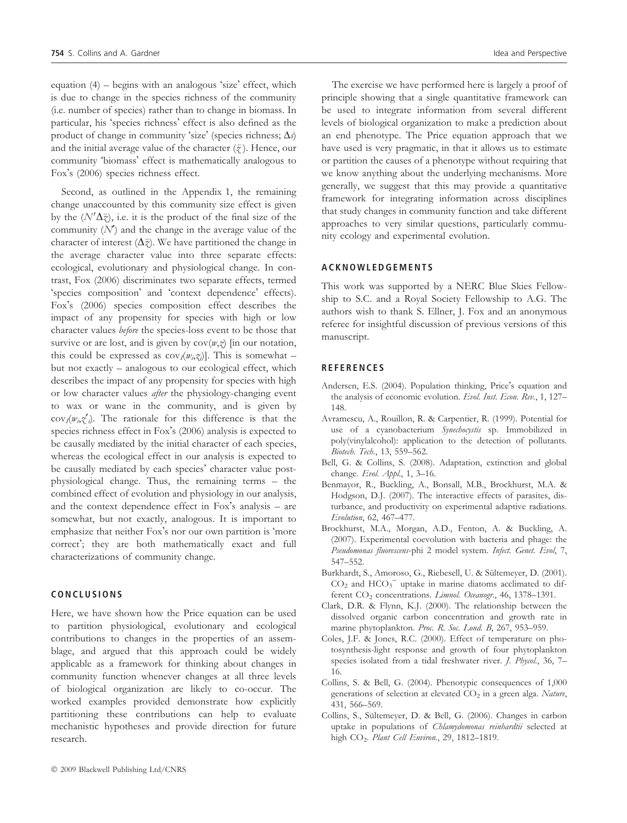equation (4) – begins with an analogous 'size' effect, which is due to change in the species richness of the community (i.e. number of species) rather than to change in biomass. In particular, his 'species richness' effect is also defined as the product of change in community 'size' (species richness;  $\Delta s$ ) and the initial average value of the character  $(\bar{z})$ . Hence, our community 'biomass' effect is mathematically analogous to Fox's (2006) species richness effect.

Second, as outlined in the Appendix 1, the remaining change unaccounted by this community size effect is given by the  $(N'\Delta \bar{z})$ , i.e. it is the product of the final size of the community  $(N)$  and the change in the average value of the character of interest ( $\Delta\bar{z}$ ). We have partitioned the change in the average character value into three separate effects: ecological, evolutionary and physiological change. In contrast, Fox (2006) discriminates two separate effects, termed 'species composition' and 'context dependence' effects). Fox's (2006) species composition effect describes the impact of any propensity for species with high or low character values before the species-loss event to be those that survive or are lost, and is given by  $cov(w, z)$  [in our notation, this could be expressed as  $cov_l(w_i, \zeta_i)$ . This is somewhat – but not exactly – analogous to our ecological effect, which describes the impact of any propensity for species with high or low character values *after* the physiology-changing event to wax or wane in the community, and is given by  $cov_I(w_i, z'_i)$ . The rationale for this difference is that the species richness effect in Fox's (2006) analysis is expected to be causally mediated by the initial character of each species, whereas the ecological effect in our analysis is expected to be causally mediated by each species' character value postphysiological change. Thus, the remaining terms – the combined effect of evolution and physiology in our analysis, and the context dependence effect in Fox's analysis - are somewhat, but not exactly, analogous. It is important to emphasize that neither Fox's nor our own partition is 'more correct'; they are both mathematically exact and full characterizations of community change.

# CONCLUSIONS

Here, we have shown how the Price equation can be used to partition physiological, evolutionary and ecological contributions to changes in the properties of an assemblage, and argued that this approach could be widely applicable as a framework for thinking about changes in community function whenever changes at all three levels of biological organization are likely to co-occur. The worked examples provided demonstrate how explicitly partitioning these contributions can help to evaluate mechanistic hypotheses and provide direction for future research.

The exercise we have performed here is largely a proof of principle showing that a single quantitative framework can be used to integrate information from several different levels of biological organization to make a prediction about an end phenotype. The Price equation approach that we have used is very pragmatic, in that it allows us to estimate or partition the causes of a phenotype without requiring that we know anything about the underlying mechanisms. More generally, we suggest that this may provide a quantitative framework for integrating information across disciplines that study changes in community function and take different approaches to very similar questions, particularly community ecology and experimental evolution.

## ACKNOWLEDGEMENTS

This work was supported by a NERC Blue Skies Fellowship to S.C. and a Royal Society Fellowship to A.G. The authors wish to thank S. Ellner, J. Fox and an anonymous referee for insightful discussion of previous versions of this manuscript.

# **REFERENCES**

- Andersen, E.S. (2004). Population thinking, Price's equation and the analysis of economic evolution. Evol. Inst. Econ. Rev., 1, 127– 148.
- Avramescu, A., Rouillon, R. & Carpentier, R. (1999). Potential for use of a cyanobacterium Synechocystis sp. Immobilized in poly(vinylalcohol): application to the detection of pollutants. Biotech. Tech., 13, 559–562.
- Bell, G. & Collins, S. (2008). Adaptation, extinction and global change. Evol. Appl., 1, 3-16.
- Benmayor, R., Buckling, A., Bonsall, M.B., Brockhurst, M.A. & Hodgson, D.J. (2007). The interactive effects of parasites, disturbance, and productivity on experimental adaptive radiations. Evolution, 62, 467–477.
- Brockhurst, M.A., Morgan, A.D., Fenton, A. & Buckling, A. (2007). Experimental coevolution with bacteria and phage: the Pseudomonas fluorescens-phi 2 model system. Infect. Genet. Evol, 7, 547–552.
- Burkhardt, S., Amoroso, G., Riebesell, U. & Sültemeyer, D. (2001).  $CO<sub>2</sub>$  and  $HCO<sub>3</sub><sup>-</sup>$  uptake in marine diatoms acclimated to different CO<sub>2</sub> concentrations. Limnol. Oceanogr., 46, 1378-1391.
- Clark, D.R. & Flynn, K.J. (2000). The relationship between the dissolved organic carbon concentration and growth rate in marine phytoplankton. Proc. R. Soc. Lond. B, 267, 953–959.
- Coles, J.F. & Jones, R.C. (2000). Effect of temperature on photosynthesis-light response and growth of four phytoplankton species isolated from a tidal freshwater river. *J. Phycol.*, 36, 7-16.
- Collins, S. & Bell, G. (2004). Phenotypic consequences of 1,000 generations of selection at elevated  $CO<sub>2</sub>$  in a green alga. Nature, 431, 566–569.
- Collins, S., Sültemeyer, D. & Bell, G. (2006). Changes in carbon uptake in populations of Chlamydomonas reinhardtii selected at high CO<sub>2</sub>. Plant Cell Environ., 29, 1812-1819.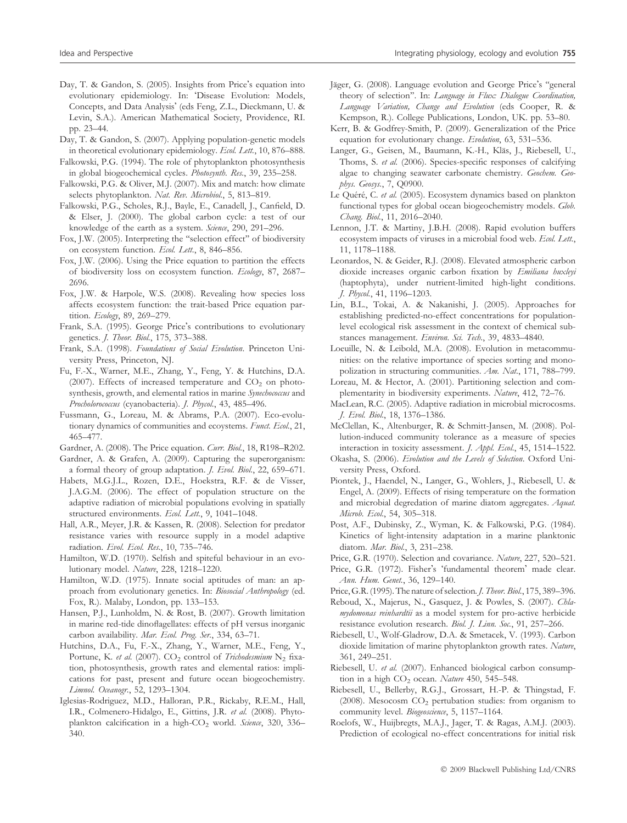- Day, T. & Gandon, S. (2005). Insights from Price's equation into evolutionary epidemiology. In: Disease Evolution: Models, Concepts, and Data Analysis' (eds Feng, Z.L., Dieckmann, U. & Levin, S.A.). American Mathematical Society, Providence, RI. pp. 23–44.
- Day, T. & Gandon, S. (2007). Applying population-genetic models in theoretical evolutionary epidemiology. Ecol. Lett., 10, 876–888.
- Falkowski, P.G. (1994). The role of phytoplankton photosynthesis in global biogeochemical cycles. Photosynth. Res., 39, 235–258.
- Falkowski, P.G. & Oliver, M.J. (2007). Mix and match: how climate selects phytoplankton. Nat. Rev. Microbiol., 5, 813-819.
- Falkowski, P.G., Scholes, R.J., Bayle, E., Canadell, J., Canfield, D. & Elser, J. (2000). The global carbon cycle: a test of our knowledge of the earth as a system. Science, 290, 291-296.
- Fox, J.W. (2005). Interpreting the ''selection effect'' of biodiversity on ecosystem function. Ecol. Lett., 8, 846-856.
- Fox, J.W. (2006). Using the Price equation to partition the effects of biodiversity loss on ecosystem function. Ecology, 87, 2687– 2696.
- Fox, J.W. & Harpole, W.S. (2008). Revealing how species loss affects ecosystem function: the trait-based Price equation partition. Ecology, 89, 269–279.
- Frank, S.A. (1995). George Price's contributions to evolutionary genetics. J. Theor. Biol., 175, 373–388.
- Frank, S.A. (1998). Foundations of Social Evolution. Princeton University Press, Princeton, NJ.
- Fu, F.-X., Warner, M.E., Zhang, Y., Feng, Y. & Hutchins, D.A. (2007). Effects of increased temperature and  $CO<sub>2</sub>$  on photosynthesis, growth, and elemental ratios in marine Synechococcus and Procholorococcus (cyanobacteria). J. Phycol., 43, 485-496.
- Fussmann, G., Loreau, M. & Abrams, P.A. (2007). Eco-evolutionary dynamics of communities and ecoystems. Funct. Ecol., 21, 465–477.
- Gardner, A. (2008). The Price equation. Curr. Biol., 18, R198–R202.
- Gardner, A. & Grafen, A. (2009). Capturing the superorganism: a formal theory of group adaptation. J. Evol. Biol., 22, 659–671.
- Habets, M.G.J.L., Rozen, D.E., Hoekstra, R.F. & de Visser, J.A.G.M. (2006). The effect of population structure on the adaptive radiation of microbial populations evolving in spatially structured environments. Ecol. Lett., 9, 1041-1048.
- Hall, A.R., Meyer, J.R. & Kassen, R. (2008). Selection for predator resistance varies with resource supply in a model adaptive radiation. Evol. Ecol. Res., 10, 735–746.
- Hamilton, W.D. (1970). Selfish and spiteful behaviour in an evolutionary model. Nature, 228, 1218–1220.
- Hamilton, W.D. (1975). Innate social aptitudes of man: an approach from evolutionary genetics. In: Biosocial Anthropology (ed. Fox, R.). Malaby, London, pp. 133–153.
- Hansen, P.J., Lunholdm, N. & Rost, B. (2007). Growth limitation in marine red-tide dinoflagellates: effects of pH versus inorganic carbon availability. Mar. Ecol. Prog. Ser., 334, 63-71.
- Hutchins, D.A., Fu, F.-X., Zhang, Y., Warner, M.E., Feng, Y., Portune, K. et al. (2007).  $CO_2$  control of Trichodesmium  $N_2$  fixation, photosynthesis, growth rates and elemental ratios: implications for past, present and future ocean biogeochemistry. Limnol. Oceanogr., 52, 1293–1304.
- Iglesias-Rodriguez, M.D., Halloran, P.R., Rickaby, R.E.M., Hall, I.R., Colmenero-Hidalgo, E., Gittins, J.R. et al. (2008). Phytoplankton calcification in a high-CO<sub>2</sub> world. Science, 320, 336– 340.
- Jäger, G. (2008). Language evolution and George Price's "general theory of selection". In: Language in Flux: Dialogue Coordination, Language Variation, Change and Evolution (eds Cooper, R. & Kempson, R.). College Publications, London, UK. pp. 53–80.
- Kerr, B. & Godfrey-Smith, P. (2009). Generalization of the Price equation for evolutionary change. Evolution, 63, 531–536.
- Langer, G., Geisen, M., Baumann, K.-H., Kläs, J., Riebesell, U., Thoms, S. et al. (2006). Species-specific responses of calcifying algae to changing seawater carbonate chemistry. Geochem. Geophys. Geosys., 7, Q0900.
- Le Quéré, C. et al. (2005). Ecosystem dynamics based on plankton functional types for global ocean biogeochemistry models. Glob. Chang. Biol., 11, 2016–2040.
- Lennon, J.T. & Martiny, J.B.H. (2008). Rapid evolution buffers ecosystem impacts of viruses in a microbial food web. Ecol. Lett., 11, 1178–1188.
- Leonardos, N. & Geider, R.J. (2008). Elevated atmospheric carbon dioxide increases organic carbon fixation by Emiliana huxleyi (haptophyta), under nutrient-limited high-light conditions. J. Phycol., 41, 1196–1203.
- Lin, B.L., Tokai, A. & Nakanishi, J. (2005). Approaches for establishing predicted-no-effect concentrations for populationlevel ecological risk assessment in the context of chemical substances management. Environ. Sci. Tech., 39, 4833-4840.
- Loeuille, N. & Leibold, M.A. (2008). Evolution in metacommunities: on the relative importance of species sorting and monopolization in structuring communities. Am. Nat., 171, 788–799.
- Loreau, M. & Hector, A. (2001). Partitioning selection and complementarity in biodiversity experiments. Nature, 412, 72–76.
- MacLean, R.C. (2005). Adaptive radiation in microbial microcosms. J. Evol. Biol., 18, 1376–1386.
- McClellan, K., Altenburger, R. & Schmitt-Jansen, M. (2008). Pollution-induced community tolerance as a measure of species interaction in toxicity assessment. J. Appl. Ecol., 45, 1514–1522.
- Okasha, S. (2006). Evolution and the Levels of Selection. Oxford University Press, Oxford.
- Piontek, J., Haendel, N., Langer, G., Wohlers, J., Riebesell, U. & Engel, A. (2009). Effects of rising temperature on the formation and microbial degredation of marine diatom aggregates. Aquat. Microb. Ecol., 54, 305–318.
- Post, A.F., Dubinsky, Z., Wyman, K. & Falkowski, P.G. (1984). Kinetics of light-intensity adaptation in a marine planktonic diatom. Mar. Biol., 3, 231–238.
- Price, G.R. (1970). Selection and covariance. Nature, 227, 520–521.
- Price, G.R. (1972). Fisher's 'fundamental theorem' made clear. Ann. Hum. Genet., 36, 129–140.
- Price, G.R. (1995). The nature of selection. *J. Theor. Biol.*, 175, 389-396.
- Reboud, X., Majerus, N., Gasquez, J. & Powles, S. (2007). Chlamydomonas reinhardtii as a model system for pro-active herbicide resistance evolution research. Biol. J. Linn. Soc., 91, 257–266.
- Riebesell, U., Wolf-Gladrow, D.A. & Smetacek, V. (1993). Carbon dioxide limitation of marine phytoplankton growth rates. Nature, 361, 249–251.
- Riebesell, U. et al. (2007). Enhanced biological carbon consumption in a high  $CO<sub>2</sub>$  ocean. Nature 450, 545–548.
- Riebesell, U., Bellerby, R.G.J., Grossart, H.-P. & Thingstad, F. (2008). Mesocosm  $CO<sub>2</sub>$  pertubation studies: from organism to community level. Biogeoscience, 5, 1157-1164.
- Roelofs, W., Huijbregts, M.A.J., Jager, T. & Ragas, A.M.J. (2003). Prediction of ecological no-effect concentrations for initial risk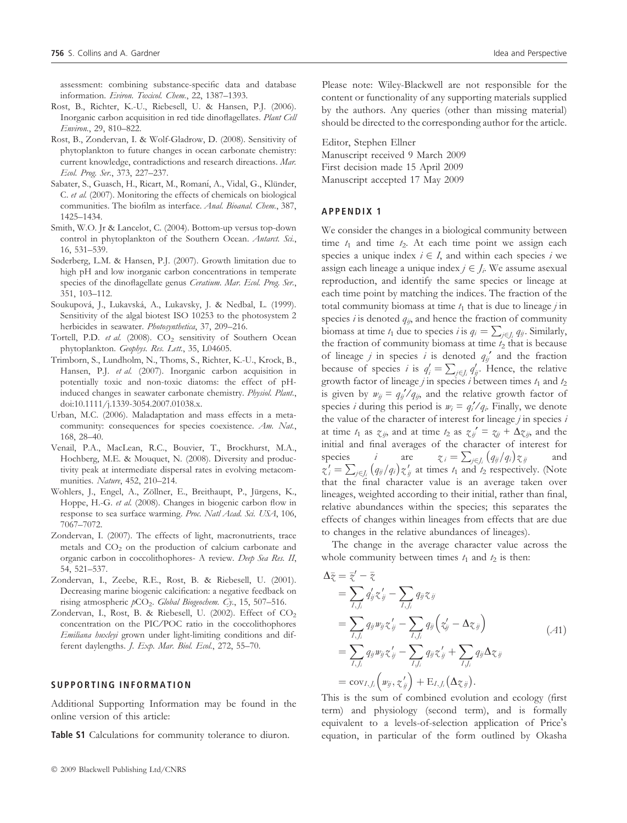assessment: combining substance-specific data and database information. Eviron. Toxicol. Chem., 22, 1387–1393.

- Rost, B., Richter, K.-U., Riebesell, U. & Hansen, P.J. (2006). Inorganic carbon acquisition in red tide dinoflagellates. Plant Cell Environ., 29, 810–822.
- Rost, B., Zondervan, I. & Wolf-Gladrow, D. (2008). Sensitivity of phytoplankton to future changes in ocean carbonate chemistry: current knowledge, contradictions and research direactions. Mar. Ecol. Prog. Ser., 373, 227–237.
- Sabater, S., Guasch, H., Ricart, M., Romaní, A., Vidal, G., Klünder, C. et al. (2007). Monitoring the effects of chemicals on biological communities. The biofilm as interface. Anal. Bioanal. Chem., 387, 1425–1434.
- Smith, W.O. Jr & Lancelot, C. (2004). Bottom-up versus top-down control in phytoplankton of the Southern Ocean. Antarct. Sci., 16, 531–539.
- Søderberg, L.M. & Hansen, P.J. (2007). Growth limitation due to high pH and low inorganic carbon concentrations in temperate species of the dinoflagellate genus Ceratium. Mar. Ecol. Prog. Ser., 351, 103–112.
- Soukupová, J., Lukavská, A., Lukavsky, J. & Nedbal, L. (1999). Sensitivity of the algal biotest ISO 10253 to the photosystem 2 herbicides in seawater. Photosynthetica, 37, 209-216.
- Tortell, P.D. et al. (2008).  $CO<sub>2</sub>$  sensitivity of Southern Ocean phytoplankton. Geophys. Res. Lett., 35, L04605.
- Trimborn, S., Lundholm, N., Thoms, S., Richter, K.-U., Krock, B., Hansen, P.J. et al. (2007). Inorganic carbon acquisition in potentially toxic and non-toxic diatoms: the effect of pHinduced changes in seawater carbonate chemistry. Physiol. Plant., doi:10.1111/j.1339-3054.2007.01038.x.
- Urban, M.C. (2006). Maladaptation and mass effects in a metacommunity: consequences for species coexistence. Am. Nat., 168, 28–40.
- Venail, P.A., MacLean, R.C., Bouvier, T., Brockhurst, M.A., Hochberg, M.E. & Mouquet, N. (2008). Diversity and productivity peak at intermediate dispersal rates in evolving metacommunities. Nature, 452, 210–214.
- Wohlers, J., Engel, A., Zöllner, E., Breithaupt, P., Jürgens, K., Hoppe, H.-G. et al. (2008). Changes in biogenic carbon flow in response to sea surface warming. Proc. Natl Acad. Sci. USA, 106, 7067–7072.
- Zondervan, I. (2007). The effects of light, macronutrients, trace metals and  $CO<sub>2</sub>$  on the production of calcium carbonate and organic carbon in coccolithophores- A review. Deep Sea Res. II, 54, 521–537.
- Zondervan, I., Zeebe, R.E., Rost, B. & Riebesell, U. (2001). Decreasing marine biogenic calcification: a negative feedback on rising atmospheric  $pCO<sub>2</sub>$ . Global Biogeochem. Cy., 15, 507-516.
- Zondervan, I., Rost, B. & Riebesell, U. (2002). Effect of CO<sub>2</sub> concentration on the PIC⁄ POC ratio in the coccolithophores Emiliana huxleyi grown under light-limiting conditions and different daylengths. J. Exp. Mar. Biol. Ecol., 272, 55-70.

# SUPPORTING INFORMATION

Additional Supporting Information may be found in the online version of this article:

Table S1 Calculations for community tolerance to diuron.

Please note: Wiley-Blackwell are not responsible for the content or functionality of any supporting materials supplied by the authors. Any queries (other than missing material) should be directed to the corresponding author for the article.

Editor, Stephen Ellner Manuscript received 9 March 2009 First decision made 15 April 2009 Manuscript accepted 17 May 2009

#### APPENDIX 1

We consider the changes in a biological community between time  $t_1$  and time  $t_2$ . At each time point we assign each species a unique index  $i \in I$ , and within each species i we assign each lineage a unique index  $j \in J_i$ . We assume asexual reproduction, and identify the same species or lineage at each time point by matching the indices. The fraction of the total community biomass at time  $t_1$  that is due to lineage *j* in species *i* is denoted  $q_{ij}$ , and hence the fraction of community biomass at time  $t_1$  due to species *i* is  $q_i = \sum_{j \in J_i} q_{ij}$ . Similarly, the fraction of community biomass at time  $t_2$  that is because of lineage *j* in species *i* is denoted  $q_{ij}^{\prime}$  and the fraction because of species *i* is  $q'_i = \sum_{j \in J_i} q'_{ij}$ . Hence, the relative growth factor of lineage *j* in species *i* between times  $t_1$  and  $t_2$ is given by  $w_{ij} = q_{ij} / q_{ij}$ , and the relative growth factor of species *i* during this period is  $w_i = \frac{q_i}{q_i}$ . Finally, we denote the value of the character of interest for lineage  $j$  in species  $i$ at time  $t_1$  as  $\chi_{ij}$ , and at time  $t_2$  as  $\chi'_{ij} = \chi_{ij} + \Delta \chi_{ij}$ , and the initial and final averages of the character of interest for species *i* are  $z_i = \sum_{j \in J_i} (q_{ij}/q_i) z_{ij}$  and  $z_i' = \sum_{j \in J_i} (q_{ij}/q_i) z_{ij}$  at times  $t_1$  and  $t_2$  respectively. (Note that the final character value is an average taken over lineages, weighted according to their initial, rather than final, relative abundances within the species; this separates the effects of changes within lineages from effects that are due to changes in the relative abundances of lineages).

The change in the average character value across the whole community between times  $t_1$  and  $t_2$  is then:

$$
\Delta \bar{z} = \bar{z}' - \bar{z}
$$
\n
$$
= \sum_{I,j_i} q'_{ij} z'_{ij} - \sum_{I,j_i} q_{ij} z_{ij}
$$
\n
$$
= \sum_{I,j_i} q_{ij} w_{ij} z'_{ij} - \sum_{I,j_i} q_{ij} (z'_{ij} - \Delta z_{ij})
$$
\n
$$
= \sum_{I,j_i} q_{ij} w_{ij} z'_{ij} - \sum_{I,j_i} q_{ij} z'_{ij} + \sum_{I,j_i} q_{ij} \Delta z_{ij}
$$
\n
$$
= \text{cov}_{I,J_i} (w_{ij}, z'_{ij}) + \text{E}_{I,J_i} (\Delta z_{ij}).
$$
\n(41)

This is the sum of combined evolution and ecology (first term) and physiology (second term), and is formally equivalent to a levels-of-selection application of Price's equation, in particular of the form outlined by Okasha